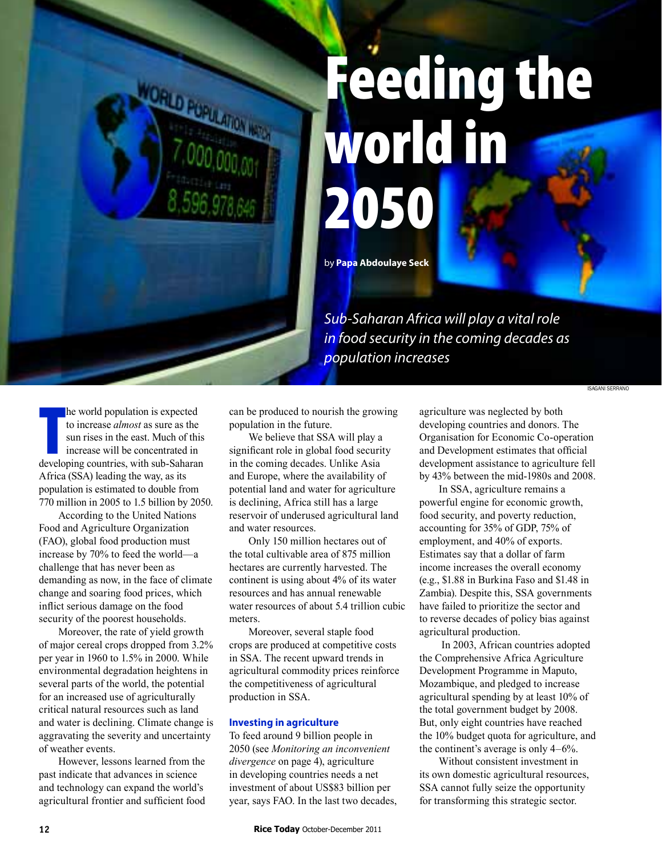# Feeding the world in 2050

by **Papa Abdoulaye Seck**

*Sub-Saharan Africa will play a vital role in food security in the coming decades as population increases*

Isagani serrano

he world population is expected<br>to increase *almost* as sure as the<br>sun rises in the east. Much of this<br>increase will be concentrated in<br>developing countries, with sub-Saharan he world population is expected to increase *almost* as sure as the sun rises in the east. Much of this increase will be concentrated in Africa (SSA) leading the way, as its population is estimated to double from 770 million in 2005 to 1.5 billion by 2050.

According to the United Nations Food and Agriculture Organization (FAO), global food production must increase by 70% to feed the world—a challenge that has never been as demanding as now, in the face of climate change and soaring food prices, which inflict serious damage on the food security of the poorest households.

Moreover, the rate of yield growth of major cereal crops dropped from 3.2% per year in 1960 to 1.5% in 2000. While environmental degradation heightens in several parts of the world, the potential for an increased use of agriculturally critical natural resources such as land and water is declining. Climate change is aggravating the severity and uncertainty of weather events.

However, lessons learned from the past indicate that advances in science and technology can expand the world's agricultural frontier and sufficient food

can be produced to nourish the growing population in the future.

We believe that SSA will play a significant role in global food security in the coming decades. Unlike Asia and Europe, where the availability of potential land and water for agriculture is declining, Africa still has a large reservoir of underused agricultural land and water resources.

Only 150 million hectares out of the total cultivable area of 875 million hectares are currently harvested. The continent is using about 4% of its water resources and has annual renewable water resources of about 5.4 trillion cubic meters.

Moreover, several staple food crops are produced at competitive costs in SSA. The recent upward trends in agricultural commodity prices reinforce the competitiveness of agricultural production in SSA.

### **Investing in agriculture**

To feed around 9 billion people in 2050 (see *Monitoring an inconvenient divergence* on page 4), agriculture in developing countries needs a net investment of about US\$83 billion per year, says FAO. In the last two decades, agriculture was neglected by both developing countries and donors. The Organisation for Economic Co-operation and Development estimates that official development assistance to agriculture fell by 43% between the mid-1980s and 2008.

In SSA, agriculture remains a powerful engine for economic growth, food security, and poverty reduction, accounting for 35% of GDP, 75% of employment, and 40% of exports. Estimates say that a dollar of farm income increases the overall economy (e.g., \$1.88 in Burkina Faso and \$1.48 in Zambia). Despite this, SSA governments have failed to prioritize the sector and to reverse decades of policy bias against agricultural production.

 In 2003, African countries adopted the Comprehensive Africa Agriculture Development Programme in Maputo, Mozambique, and pledged to increase agricultural spending by at least 10% of the total government budget by 2008. But, only eight countries have reached the 10% budget quota for agriculture, and the continent's average is only 4–6%.

Without consistent investment in its own domestic agricultural resources, SSA cannot fully seize the opportunity for transforming this strategic sector.